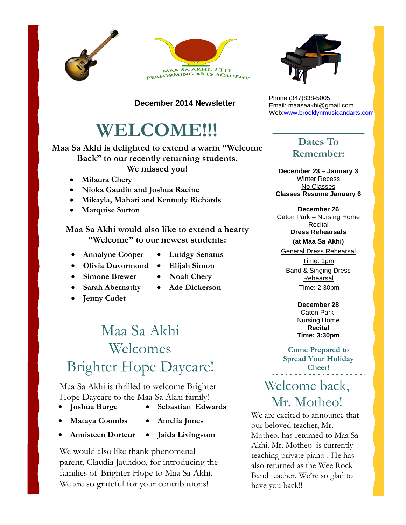



**December 2014 Newsletter**

# **WELCOME!!!**

#### **Maa Sa Akhi is delighted to extend a warm "Welcome Back" to our recently returning students. We missed you!**

- **Milaura Chery**
- **Nioka Gaudin and Joshua Racine**
- **Mikayla, Mahari and Kennedy Richards**
- **Marquise Sutton**

#### **Maa Sa Akhi would also like to extend a hearty "Welcome" to our newest students:**

- **Annalyne Cooper**
- **Luidgy Senatus**
- **Olivia Duvormond**
- 
- **Simone Brewer Sarah Abernathy**
- **Ade Dickerson**
- **Jenny Cadet**
- 

## Maa Sa Akhi Welcomes Brighter Hope Daycare!

Maa Sa Akhi is thrilled to welcome Brighter Hope Daycare to the Maa Sa Akhi family!

- **Joshua Burge**
- **Sebastian Edwards**
- **Mataya Coombs**
- **Amelia Jones**
- **Annisteen Dorteur Jaida Livingston**

We would also like thank phenomenal parent, Claudia Jaundoo, for introducing the families of Brighter Hope to Maa Sa Akhi. We are so grateful for your contributions!

Phone:(347)838-5005, Email: maasaakhi@gmail.com Web[:www.brooklynmusicandarts.com](http://www.brooklynmusicandarts.com/)

### **Dates To Remember:**

**December 23 – January 3** Winter Recess No Classes **Classes Resume January 6**

**December 26** Caton Park – Nursing Home Recital **Dress Rehearsals**

**(at Maa Sa Akhi)**

General Dress Rehearsal Time: 1pm Band & Singing Dress Rehearsal Time: 2:30pm

> **December 28** Caton Park-Nursing Home **Recital Time: 3:30pm**

**Come Prepared to Spread Your Holiday Cheer!**

### Welcome back, Mr. Motheo!

We are excited to announce that our beloved teacher, Mr. Motheo, has returned to Maa Sa Akhi. Mr. Motheo is currently teaching private piano . He has also returned as the Wee Rock Band teacher. We're so glad to have you back!!

- 
- **Elijah Simon Noah Chery**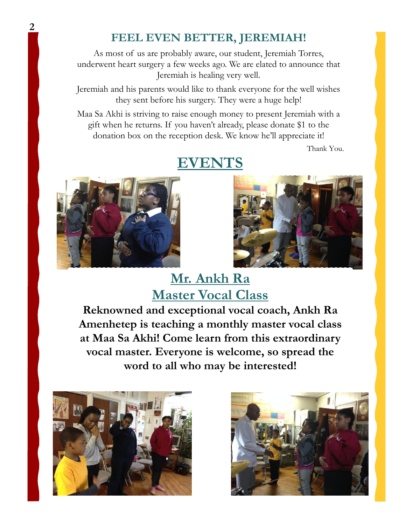### **FEEL EVEN BETTER, JEREMIAH!**

As most of us are probably aware, our student, Jeremiah Torres, underwent heart surgery a few weeks ago. We are elated to announce that Jeremiah is healing very well.

Jeremiah and his parents would like to thank everyone for the well wishes they sent before his surgery. They were a huge help!

Maa Sa Akhi is striving to raise enough money to present Jeremiah with a gift when he returns. If you haven't already, please donate \$1 to the donation box on the reception desk. We know he'll appreciate it!

Thank You.



### **EVENTS**



**Mr. Ankh Ra Master Vocal Class**

**Reknowned and exceptional vocal coach, Ankh Ra Amenhetep is teaching a monthly master vocal class at Maa Sa Akhi! Come learn from this extraordinary vocal master. Everyone is welcome, so spread the word to all who may be interested!**



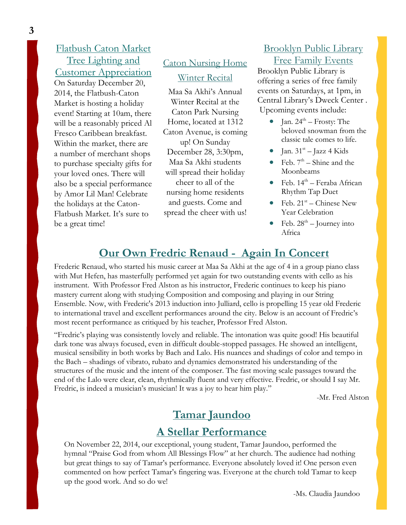### Flatbush Caton Market Tree Lighting and Customer Appreciation

On Saturday December 20, 2014, the Flatbush-Caton Market is hosting a holiday event! Starting at 10am, there will be a reasonably priced Al Fresco Caribbean breakfast. Within the market, there are a number of merchant shops to purchase specialty gifts for your loved ones. There will also be a special performance by Amor Lil Man! Celebrate the holidays at the Caton-Flatbush Market. It's sure to be a great time!

### Caton Nursing Home Winter Recital

Maa Sa Akhi's Annual Winter Recital at the Caton Park Nursing Home, located at 1312 Caton Avenue, is coming up! On Sunday December 28, 3:30pm, Maa Sa Akhi students will spread their holiday cheer to all of the nursing home residents and guests. Come and spread the cheer with us!

### Brooklyn Public Library Free Family Events

Brooklyn Public Library is offering a series of free family events on Saturdays, at 1pm, in Central Library's Dweck Center . Upcoming events include:

- Jan.  $24^{\text{th}}$  Frosty: The beloved snowman from the classic tale comes to life.
- $\bullet$  Jan. 31<sup>st</sup> Jazz 4 Kids
- Feb.  $7<sup>th</sup>$  Shine and the Moonbeams
- $\bullet$  Feb. 14<sup>th</sup> Feraba African Rhythm Tap Duet
- Feb.  $21^{st}$  Chinese New Year Celebration
- Feb.  $28^{th}$  Journey into Africa

### **Our Own Fredric Renaud - Again In Concert**

Frederic Renaud, who started his music career at Maa Sa Akhi at the age of 4 in a group piano class with Mut Hefen, has masterfully performed yet again for two outstanding events with cello as his instrument. With Professor Fred Alston as his instructor, Frederic continues to keep his piano mastery current along with studying Composition and composing and playing in our String Ensemble. Now, with Frederic's 2013 induction into Julliard, cello is propelling 15 year old Frederic to international travel and excellent performances around the city. Below is an account of Fredric's most recent performance as critiqued by his teacher, Professor Fred Alston.

"Fredric's playing was consistently lovely and reliable. The intonation was quite good! His beautiful dark tone was always focused, even in difficult double-stopped passages. He showed an intelligent, musical sensibility in both works by Bach and Lalo. His nuances and shadings of color and tempo in the Bach – shadings of vibrato, rubato and dynamics demonstrated his understanding of the structures of the music and the intent of the composer. The fast moving scale passages toward the end of the Lalo were clear, clean, rhythmically fluent and very effective. Fredric, or should I say Mr. Fredric, is indeed a musician's musician! It was a joy to hear him play."

-Mr. Fred Alston

### **Tamar Jaundoo**

### **A Stellar Performance**

On November 22, 2014, our exceptional, young student, Tamar Jaundoo, performed the hymnal "Praise God from whom All Blessings Flow" at her church. The audience had nothing but great things to say of Tamar's performance. Everyone absolutely loved it! One person even commented on how perfect Tamar's fingering was. Everyone at the church told Tamar to keep up the good work. And so do we!

-Ms. Claudia Jaundoo